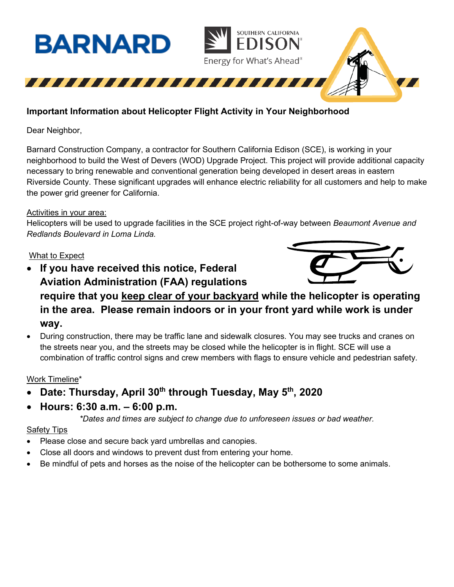

# **Important Information about Helicopter Flight Activity in Your Neighborhood**

Dear Neighbor,

Barnard Construction Company, a contractor for Southern California Edison (SCE), is working in your neighborhood to build the West of Devers (WOD) Upgrade Project. This project will provide additional capacity necessary to bring renewable and conventional generation being developed in desert areas in eastern Riverside County. These significant upgrades will enhance electric reliability for all customers and help to make the power grid greener for California.

#### Activities in your area:

Helicopters will be used to upgrade facilities in the SCE project right-of-way between *Beaumont Avenue and Redlands Boulevard in Loma Linda.*

### What to Expect

- **If you have received this notice, Federal Aviation Administration (FAA) regulations require that you keep clear of your backyard while the helicopter is operating in the area. Please remain indoors or in your front yard while work is under way.**
- During construction, there may be traffic lane and sidewalk closures. You may see trucks and cranes on the streets near you, and the streets may be closed while the helicopter is in flight. SCE will use a combination of traffic control signs and crew members with flags to ensure vehicle and pedestrian safety.

## Work Timeline\*

- **Date: Thursday, April 30th through Tuesday, May 5th, 2020**
- **Hours: 6:30 a.m. – 6:00 p.m.**

*\*Dates and times are subject to change due to unforeseen issues or bad weather.*

#### Safety Tips

- Please close and secure back yard umbrellas and canopies.
- Close all doors and windows to prevent dust from entering your home.
- Be mindful of pets and horses as the noise of the helicopter can be bothersome to some animals.